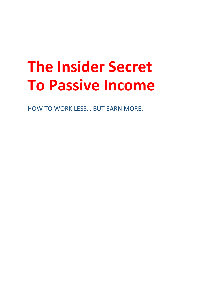## **The Insider Secret To Passive Income**

HOW TO WORK LESS… BUT EARN MORE.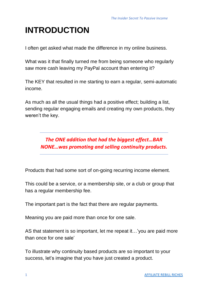## **INTRODUCTION**

I often get asked what made the difference in my online business.

What was it that finally turned me from being someone who regularly saw more cash leaving my PayPal account than entering it?

The KEY that resulted in me starting to earn a regular, semi-automatic income.

As much as all the usual things had a positive effect; building a list, sending regular engaging emails and creating my own products, they weren't the key.

> *The ONE addition that had the biggest effect…BAR NONE…was promoting and selling continuity products.*

Products that had some sort of on-going recurring income element.

This could be a service, or a membership site, or a club or group that has a regular membership fee.

The important part is the fact that there are regular payments.

Meaning you are paid more than once for one sale.

AS that statement is so important, let me repeat it…'you are paid more than once for one sale'

To illustrate why continuity based products are so important to your success, let's imagine that you have just created a product.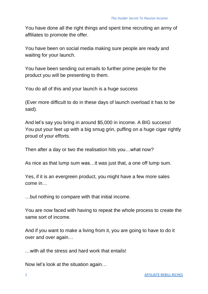You have done all the right things and spent time recruiting an army of affiliates to promote the offer.

You have been on social media making sure people are ready and waiting for your launch.

You have been sending out emails to further prime people for the product you will be presenting to them.

You do all of this and your launch is a huge success

(Ever more difficult to do in these days of launch overload it has to be said).

And let's say you bring in around \$5,000 in income. A BIG success! You put your feet up with a big smug grin, puffing on a huge cigar rightly proud of your efforts.

Then after a day or two the realisation hits you…what now?

As nice as that lump sum was…it was just that, a one off lump sum.

Yes, if it is an evergreen product, you might have a few more sales come in…

…but nothing to compare with that initial income.

You are now faced with having to repeat the whole process to create the same sort of income.

And if you want to make a living from it, you are going to have to do it over and over again…

…with all the stress and hard work that entails!

Now let's look at the situation again…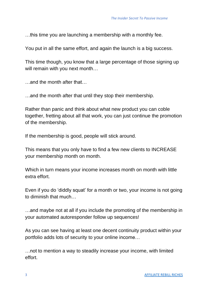…this time you are launching a membership with a monthly fee.

You put in all the same effort, and again the launch is a big success.

This time though, you know that a large percentage of those signing up will remain with you next month…

…and the month after that…

…and the month after that until they stop their membership.

Rather than panic and think about what new product you can coble together, fretting about all that work, you can just continue the promotion of the membership.

If the membership is good, people will stick around.

This means that you only have to find a few new clients to INCREASE your membership month on month.

Which in turn means your income increases month on month with little extra effort.

Even if you do 'diddly squat' for a month or two, your income is not going to diminish that much…

…and maybe not at all if you include the promoting of the membership in your automated autoresponder follow up sequences!

As you can see having at least one decent continuity product within your portfolio adds lots of security to your online income…

…not to mention a way to steadily increase your income, with limited effort.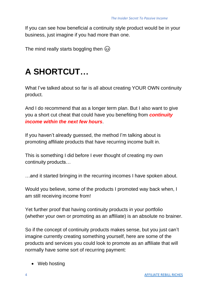If you can see how beneficial a continuity style product would be in your business, just imagine if you had more than one.

The mind really starts boggling then  $\circled{e}$ 

## **A SHORTCUT…**

What I've talked about so far is all about creating YOUR OWN continuity product.

And I do recommend that as a longer term plan. But I also want to give you a short cut cheat that could have you benefiting from *continuity income within the next few hours*.

If you haven't already guessed, the method I'm talking about is promoting affiliate products that have recurring income built in.

This is something I did before I ever thought of creating my own continuity products…

…and it started bringing in the recurring incomes I have spoken about.

Would you believe, some of the products I promoted way back when, I am still receiving income from!

Yet further proof that having continuity products in your portfolio (whether your own or promoting as an affiliate) is an absolute no brainer.

So if the concept of continuity products makes sense, but you just can't imagine currently creating something yourself, here are some of the products and services you could look to promote as an affiliate that will normally have some sort of recurring payment:

• Web hosting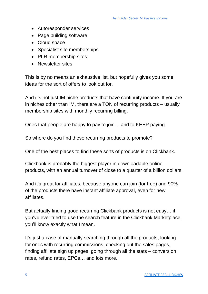- Autoresponder services
- Page building software
- Cloud space
- Specialist site memberships
- PLR membership sites
- Newsletter sites

This is by no means an exhaustive list, but hopefully gives you some ideas for the sort of offers to look out for.

And it's not just IM niche products that have continuity income. If you are in niches other than IM, there are a TON of recurring products – usually membership sites with monthly recurring billing.

Ones that people are happy to pay to join… and to KEEP paying.

So where do you find these recurring products to promote?

One of the best places to find these sorts of products is on Clickbank.

Clickbank is probably the biggest player in downloadable online products, with an annual turnover of close to a quarter of a billion dollars.

And it's great for affiliates, because anyone can join (for free) and 90% of the products there have instant affiliate approval, even for new affiliates.

But actually finding good recurring Clickbank products is not easy… if you've ever tried to use the search feature in the Clickbank Marketplace, you'll know exactly what I mean.

It's just a case of manually searching through all the products, looking for ones with recurring commissions, checking out the sales pages, finding affiliate sign up pages, going through all the stats – conversion rates, refund rates, EPCs… and lots more.